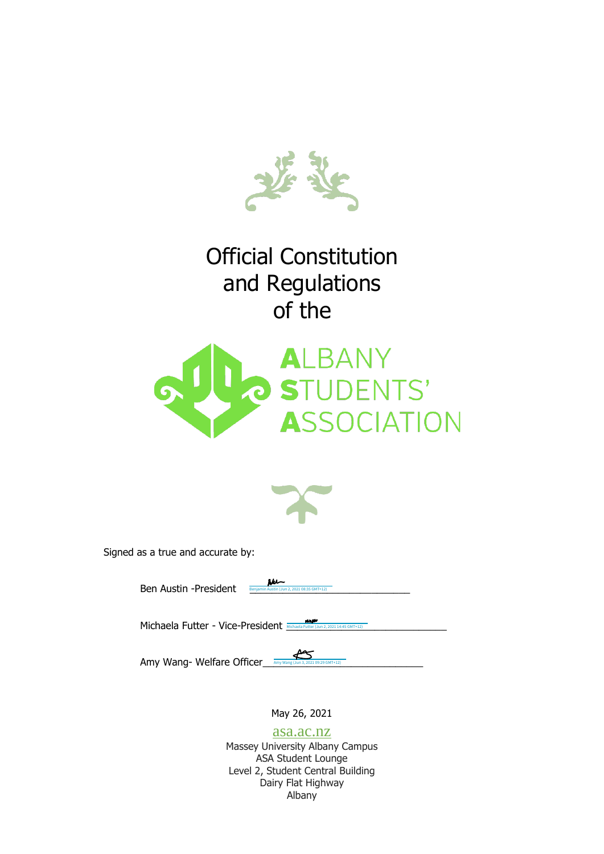

# Official Constitution and Regulations of the





Signed as a true and accurate by:

Ben Austin -President **Revigence** Benjamin Austin (Jun 2, 2021 08:35 GMT+12)

Michaela Futter - Vice-President **Michaela Futter (Jun 2, 2021 14:45 GMT+12)** 

Amy Wang- Welfare Officer  $\sum_{\text{Any Wang (Jun 3, 202)}}$ Amy Wang (Jun 3, 2021 09:29 GMT+12)

May 26, 2021

asa.ac.nz Massey University Albany Campus ASA Student Lounge Level 2, Student Central Building Dairy Flat Highway Albany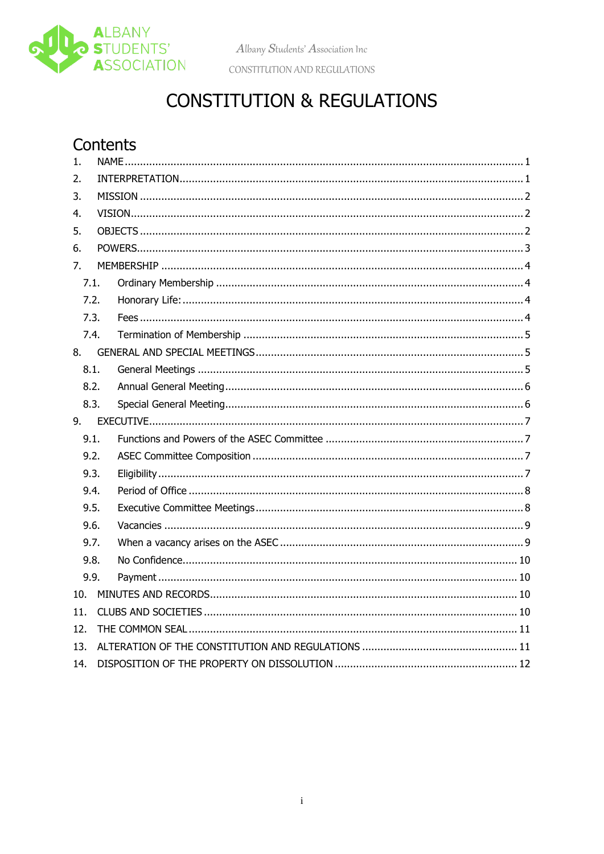

Albany Students' Association Inc

CONSTITUTION AND REGULATIONS

# **CONSTITUTION & REGULATIONS**

### Contents

| 1.   |      |  |  |  |  |
|------|------|--|--|--|--|
| 2.   |      |  |  |  |  |
| 3.   |      |  |  |  |  |
| 4.   |      |  |  |  |  |
| 5.   |      |  |  |  |  |
| 6.   |      |  |  |  |  |
| 7.   |      |  |  |  |  |
| 7.1. |      |  |  |  |  |
| 7.2. |      |  |  |  |  |
| 7.3. |      |  |  |  |  |
| 7.4. |      |  |  |  |  |
| 8.   |      |  |  |  |  |
| 8.1. |      |  |  |  |  |
| 8.2. |      |  |  |  |  |
|      | 8.3. |  |  |  |  |
|      |      |  |  |  |  |
| 9.   |      |  |  |  |  |
| 9.1. |      |  |  |  |  |
| 9.2. |      |  |  |  |  |
| 9.3. |      |  |  |  |  |
| 9.4. |      |  |  |  |  |
| 9.5. |      |  |  |  |  |
| 9.6. |      |  |  |  |  |
| 9.7. |      |  |  |  |  |
| 9.8. |      |  |  |  |  |
| 9.9. |      |  |  |  |  |
| 10.  |      |  |  |  |  |
| 11.  |      |  |  |  |  |
| 12.  |      |  |  |  |  |
| 13.  |      |  |  |  |  |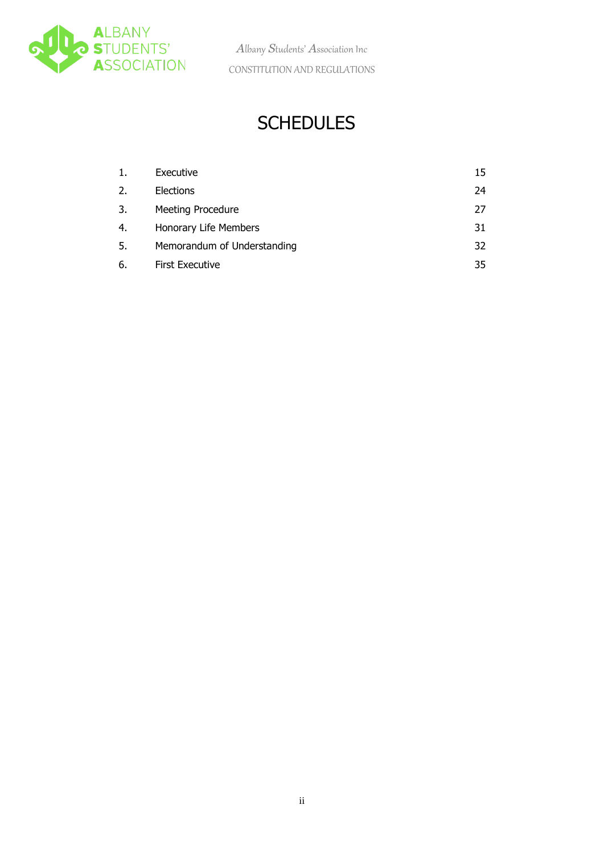

## **SCHEDULES**

| 1. | Executive                   | 15 |
|----|-----------------------------|----|
| 2. | Elections                   | 24 |
| 3. | <b>Meeting Procedure</b>    | 27 |
| 4. | Honorary Life Members       | 31 |
| 5. | Memorandum of Understanding | 32 |
| 6. | <b>First Executive</b>      | 35 |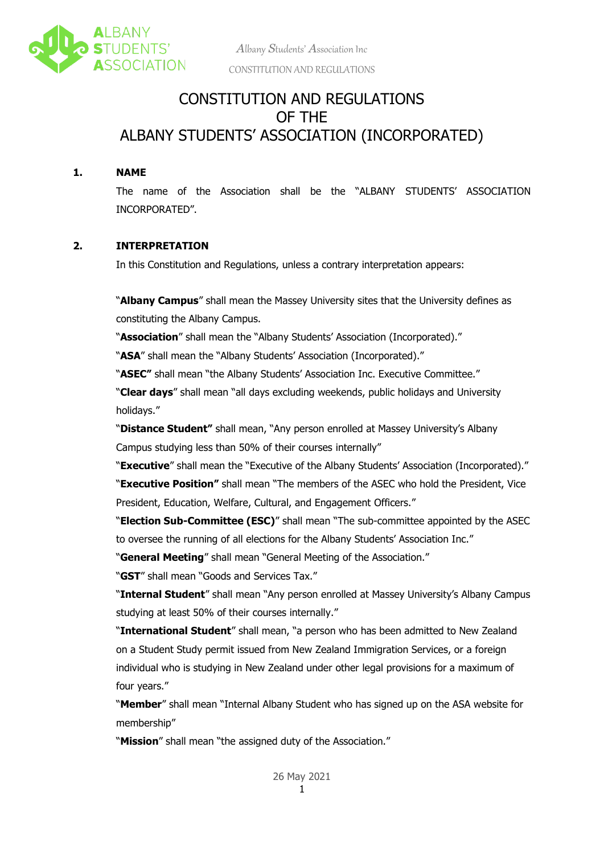<span id="page-3-2"></span>

### CONSTITUTION AND REGULATIONS OF THE ALBANY STUDENTS' ASSOCIATION (INCORPORATED)

#### <span id="page-3-0"></span>**1. NAME**

The name of the Association shall be the "ALBANY STUDENTS' ASSOCIATION INCORPORATED".

#### <span id="page-3-1"></span>**2. INTERPRETATION**

In this Constitution and Regulations, unless a contrary interpretation appears:

"**Albany Campus**" shall mean the Massey University sites that the University defines as constituting the Albany Campus.

"**Association**" shall mean the "Albany Students' Association (Incorporated)."

"**ASA**" shall mean the "Albany Students' Association (Incorporated)."

"**ASEC"** shall mean "the Albany Students' Association Inc. Executive Committee."

"**Clear days**" shall mean "all days excluding weekends, public holidays and University holidays."

"**Distance Student"** shall mean, "Any person enrolled at Massey University's Albany Campus studying less than 50% of their courses internally"

"**Executive**" shall mean the "Executive of the Albany Students' Association (Incorporated)." "**Executive Position"** shall mean "The members of the ASEC who hold the President, Vice President, Education, Welfare, Cultural, and Engagement Officers."

"**Election Sub-Committee (ESC)**" shall mean "The sub-committee appointed by the ASEC to oversee the running of all elections for the Albany Students' Association Inc."

"**General Meeting**" shall mean "General Meeting of the Association."

"**GST**" shall mean "Goods and Services Tax."

"**Internal Student**" shall mean "Any person enrolled at Massey University's Albany Campus studying at least 50% of their courses internally."

"**International Student**" shall mean, "a person who has been admitted to New Zealand on a Student Study permit issued from New Zealand Immigration Services, or a foreign individual who is studying in New Zealand under other legal provisions for a maximum of four years."

"**Member**" shall mean "Internal Albany Student who has signed up on the ASA website for membership"

"**Mission**" shall mean "the assigned duty of the Association."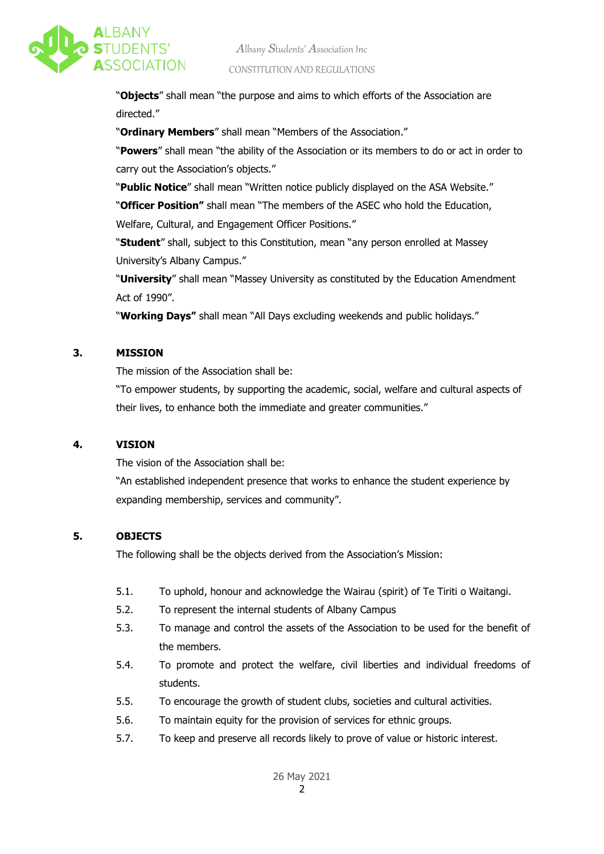<span id="page-4-3"></span>

"**Objects**" shall mean "the purpose and aims to which efforts of the Association are directed."

"**Ordinary Members**" shall mean "Members of the Association."

"**Powers**" shall mean "the ability of the Association or its members to do or act in order to carry out the Association's objects."

"**Public Notice**" shall mean "Written notice publicly displayed on the ASA Website."

"**Officer Position"** shall mean "The members of the ASEC who hold the Education,

Welfare, Cultural, and Engagement Officer Positions."

"**Student**" shall, subject to this Constitution, mean "any person enrolled at Massey University's Albany Campus."

"**University**" shall mean "Massey University as constituted by the Education Amendment Act of 1990".

"**Working Days"** shall mean "All Days excluding weekends and public holidays."

#### <span id="page-4-0"></span>**3. MISSION**

The mission of the Association shall be:

"To empower students, by supporting the academic, social, welfare and cultural aspects of their lives, to enhance both the immediate and greater communities."

#### <span id="page-4-1"></span>**4. VISION**

The vision of the Association shall be:

"An established independent presence that works to enhance the student experience by expanding membership, services and community".

#### <span id="page-4-2"></span>**5. OBJECTS**

The following shall be the objects derived from the Association's Mission:

- 5.1. To uphold, honour and acknowledge the Wairau (spirit) of Te Tiriti o Waitangi.
- 5.2. To represent the internal students of Albany Campus
- 5.3. To manage and control the assets of the Association to be used for the benefit of the members.
- 5.4. To promote and protect the welfare, civil liberties and individual freedoms of students.
- 5.5. To encourage the growth of student clubs, societies and cultural activities.
- 5.6. To maintain equity for the provision of services for ethnic groups.
- 5.7. To keep and preserve all records likely to prove of value or historic interest.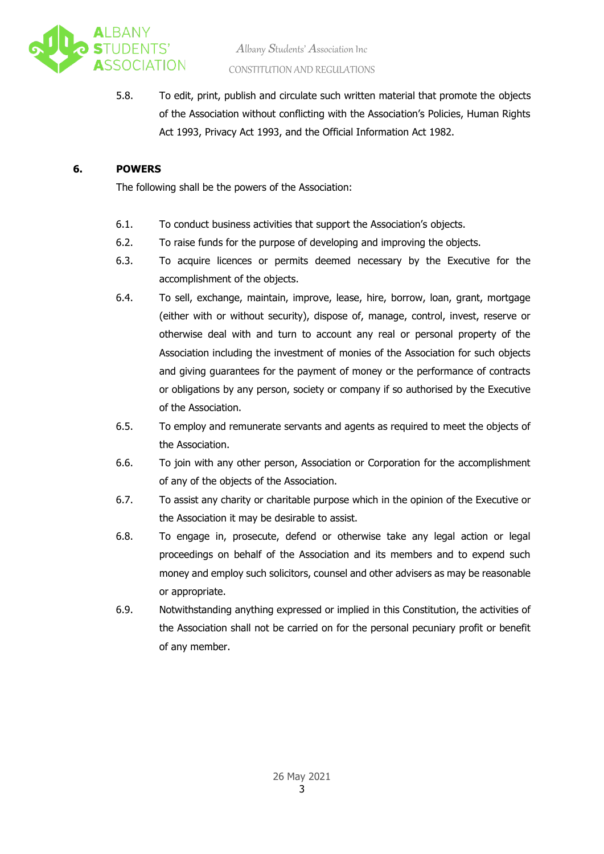<span id="page-5-1"></span>

5.8. To edit, print, publish and circulate such written material that promote the objects of the Association without conflicting with the Association's Policies, Human Rights Act 1993, Privacy Act 1993, and the Official Information Act 1982.

#### <span id="page-5-0"></span>**6. POWERS**

The following shall be the powers of the Association:

- 6.1. To conduct business activities that support the Association's objects.
- 6.2. To raise funds for the purpose of developing and improving the objects.
- 6.3. To acquire licences or permits deemed necessary by the Executive for the accomplishment of the objects.
- 6.4. To sell, exchange, maintain, improve, lease, hire, borrow, loan, grant, mortgage (either with or without security), dispose of, manage, control, invest, reserve or otherwise deal with and turn to account any real or personal property of the Association including the investment of monies of the Association for such objects and giving guarantees for the payment of money or the performance of contracts or obligations by any person, society or company if so authorised by the Executive of the Association.
- 6.5. To employ and remunerate servants and agents as required to meet the objects of the Association.
- 6.6. To join with any other person, Association or Corporation for the accomplishment of any of the objects of the Association.
- 6.7. To assist any charity or charitable purpose which in the opinion of the Executive or the Association it may be desirable to assist.
- 6.8. To engage in, prosecute, defend or otherwise take any legal action or legal proceedings on behalf of the Association and its members and to expend such money and employ such solicitors, counsel and other advisers as may be reasonable or appropriate.
- 6.9. Notwithstanding anything expressed or implied in this Constitution, the activities of the Association shall not be carried on for the personal pecuniary profit or benefit of any member.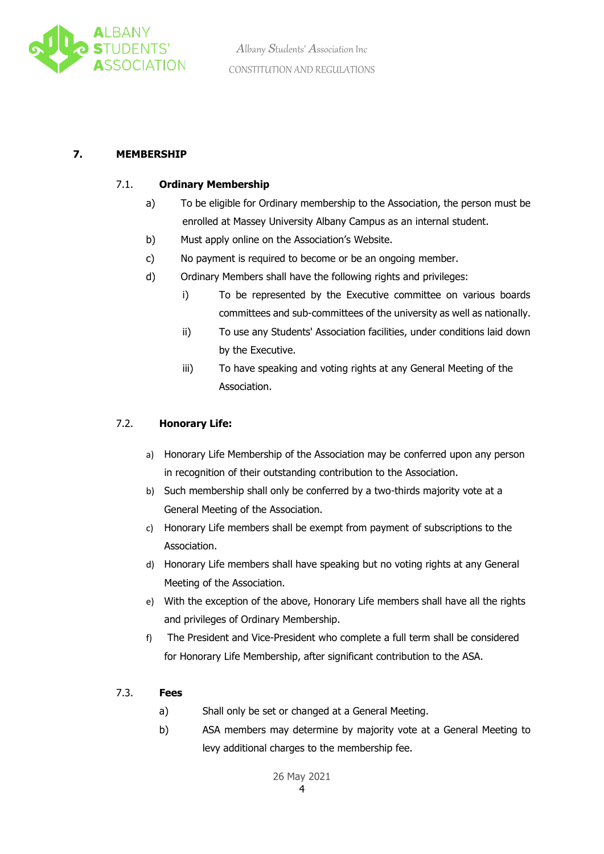<span id="page-6-4"></span>

#### <span id="page-6-1"></span><span id="page-6-0"></span>**7. MEMBERSHIP**

#### 7.1. **Ordinary Membership**

- a) To be eligible for Ordinary membership to the Association, the person must be enrolled at Massey University Albany Campus as an internal student.
- b) Must apply online on the Association's Website.
- c) No payment is required to become or be an ongoing member.
- d) Ordinary Members shall have the following rights and privileges:
	- i) To be represented by the Executive committee on various boards committees and sub-committees of the university as well as nationally.
	- ii) To use any Students' Association facilities, under conditions laid down by the Executive.
	- iii) To have speaking and voting rights at any General Meeting of the Association.

#### <span id="page-6-2"></span>7.2. **Honorary Life:**

- a) Honorary Life Membership of the Association may be conferred upon any person in recognition of their outstanding contribution to the Association.
- b) Such membership shall only be conferred by a two-thirds majority vote at a General Meeting of the Association.
- c) Honorary Life members shall be exempt from payment of subscriptions to the Association.
- d) Honorary Life members shall have speaking but no voting rights at any General Meeting of the Association.
- e) With the exception of the above, Honorary Life members shall have all the rights and privileges of Ordinary Membership.
- f) The President and Vice-President who complete a full term shall be considered for Honorary Life Membership, after significant contribution to the ASA.

#### <span id="page-6-3"></span>7.3. **Fees**

- a) Shall only be set or changed at a General Meeting.
- b) ASA members may determine by majority vote at a General Meeting to levy additional charges to the membership fee.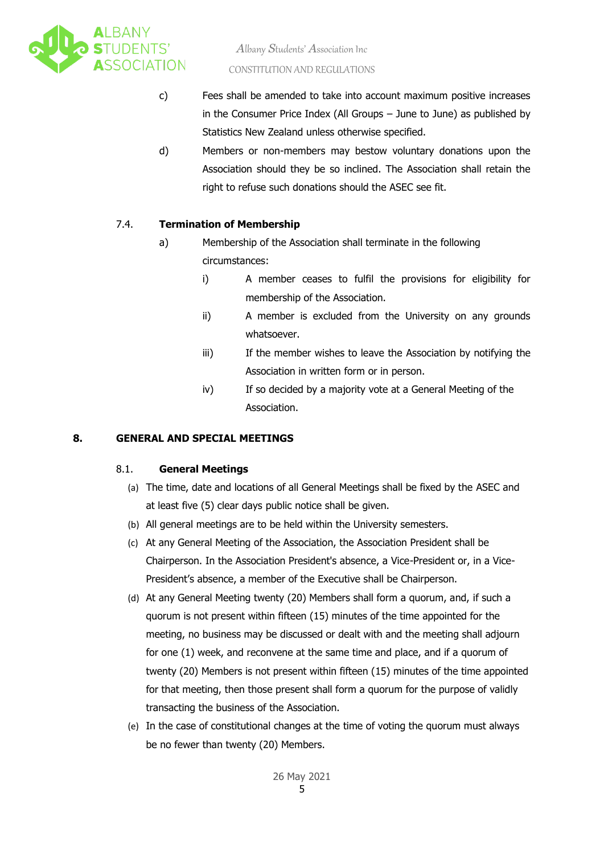<span id="page-7-3"></span>

- c) Fees shall be amended to take into account maximum positive increases in the Consumer Price Index (All Groups – June to June) as published by Statistics New Zealand unless otherwise specified.
- d) Members or non-members may bestow voluntary donations upon the Association should they be so inclined. The Association shall retain the right to refuse such donations should the ASEC see fit.

#### <span id="page-7-0"></span>7.4. **Termination of Membership**

- a) Membership of the Association shall terminate in the following circumstances:
	- i) A member ceases to fulfil the provisions for eligibility for membership of the Association.
	- ii) A member is excluded from the University on any grounds whatsoever.
	- iii) If the member wishes to leave the Association by notifying the Association in written form or in person.
	- iv) If so decided by a majority vote at a General Meeting of the Association.

#### <span id="page-7-2"></span><span id="page-7-1"></span>**8. GENERAL AND SPECIAL MEETINGS**

#### 8.1. **General Meetings**

- (a) The time, date and locations of all General Meetings shall be fixed by the ASEC and at least five (5) clear days public notice shall be given.
- (b) All general meetings are to be held within the University semesters.
- (c) At any General Meeting of the Association, the Association President shall be Chairperson. In the Association President's absence, a Vice-President or, in a Vice-President's absence, a member of the Executive shall be Chairperson.
- (d) At any General Meeting twenty (20) Members shall form a quorum, and, if such a quorum is not present within fifteen (15) minutes of the time appointed for the meeting, no business may be discussed or dealt with and the meeting shall adjourn for one (1) week, and reconvene at the same time and place, and if a quorum of twenty (20) Members is not present within fifteen (15) minutes of the time appointed for that meeting, then those present shall form a quorum for the purpose of validly transacting the business of the Association.
- (e) In the case of constitutional changes at the time of voting the quorum must always be no fewer than twenty (20) Members.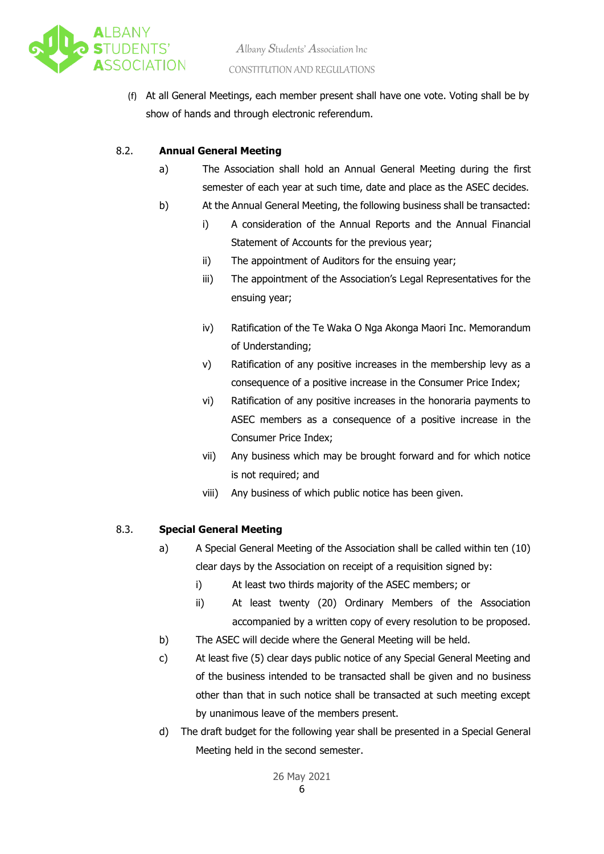<span id="page-8-2"></span>

(f) At all General Meetings, each member present shall have one vote. Voting shall be by show of hands and through electronic referendum.

#### <span id="page-8-0"></span>8.2. **Annual General Meeting**

- a) The Association shall hold an Annual General Meeting during the first semester of each year at such time, date and place as the ASEC decides.
- b) At the Annual General Meeting, the following business shall be transacted:
	- i) A consideration of the Annual Reports and the Annual Financial Statement of Accounts for the previous year;
		- ii) The appointment of Auditors for the ensuing year;
		- iii) The appointment of the Association's Legal Representatives for the ensuing year;
		- iv) Ratification of the Te Waka O Nga Akonga Maori Inc. Memorandum of Understanding;
		- v) Ratification of any positive increases in the membership levy as a consequence of a positive increase in the Consumer Price Index;
		- vi) Ratification of any positive increases in the honoraria payments to ASEC members as a consequence of a positive increase in the Consumer Price Index;
		- vii) Any business which may be brought forward and for which notice is not required; and
		- viii) Any business of which public notice has been given.

#### <span id="page-8-1"></span>8.3. **Special General Meeting**

- a) A Special General Meeting of the Association shall be called within ten (10) clear days by the Association on receipt of a requisition signed by:
	- i) At least two thirds majority of the ASEC members; or
	- ii) At least twenty (20) Ordinary Members of the Association accompanied by a written copy of every resolution to be proposed.
- b) The ASEC will decide where the General Meeting will be held.
- c) At least five (5) clear days public notice of any Special General Meeting and of the business intended to be transacted shall be given and no business other than that in such notice shall be transacted at such meeting except by unanimous leave of the members present.
- d) The draft budget for the following year shall be presented in a Special General Meeting held in the second semester.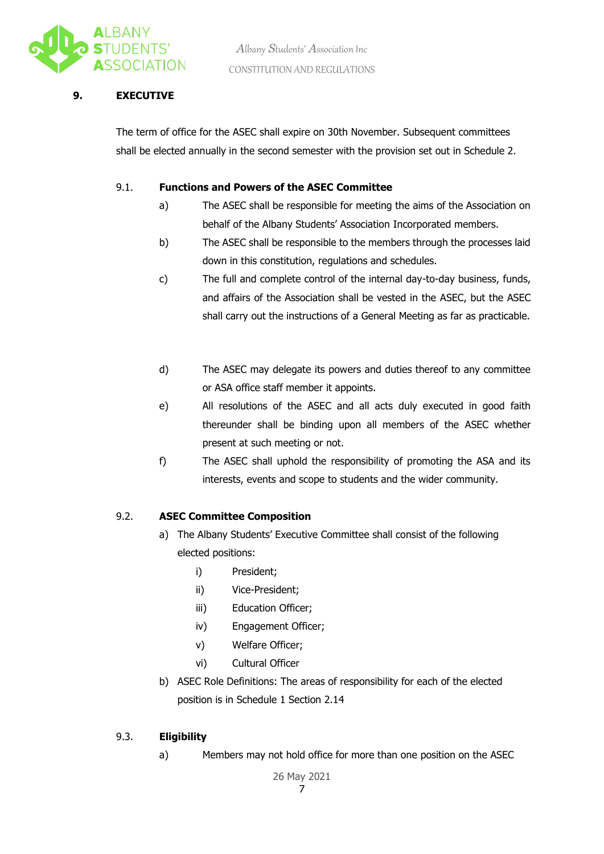<span id="page-9-4"></span>

#### <span id="page-9-0"></span>**9. EXECUTIVE**

The term of office for the ASEC shall expire on 30th November. Subsequent committees shall be elected annually in the second semester with the provision set out in Schedule 2.

#### <span id="page-9-1"></span>9.1. **Functions and Powers of the ASEC Committee**

- a) The ASEC shall be responsible for meeting the aims of the Association on behalf of the Albany Students' Association Incorporated members.
- b) The ASEC shall be responsible to the members through the processes laid down in this constitution, regulations and schedules.
- c) The full and complete control of the internal day-to-day business, funds, and affairs of the Association shall be vested in the ASEC, but the ASEC shall carry out the instructions of a General Meeting as far as practicable.
- d) The ASEC may delegate its powers and duties thereof to any committee or ASA office staff member it appoints.
- e) All resolutions of the ASEC and all acts duly executed in good faith thereunder shall be binding upon all members of the ASEC whether present at such meeting or not.
- f) The ASEC shall uphold the responsibility of promoting the ASA and its interests, events and scope to students and the wider community.

#### <span id="page-9-2"></span>9.2. **ASEC Committee Composition**

- a) The Albany Students' Executive Committee shall consist of the following elected positions:
	- i) President;
	- ii) Vice-President;
	- iii) Education Officer;
	- iv) Engagement Officer;
	- v) Welfare Officer;
	- vi) Cultural Officer
- b) ASEC Role Definitions: The areas of responsibility for each of the elected position is in Schedule 1 Section 2.14

#### <span id="page-9-3"></span>9.3. **Eligibility**

a) Members may not hold office for more than one position on the ASEC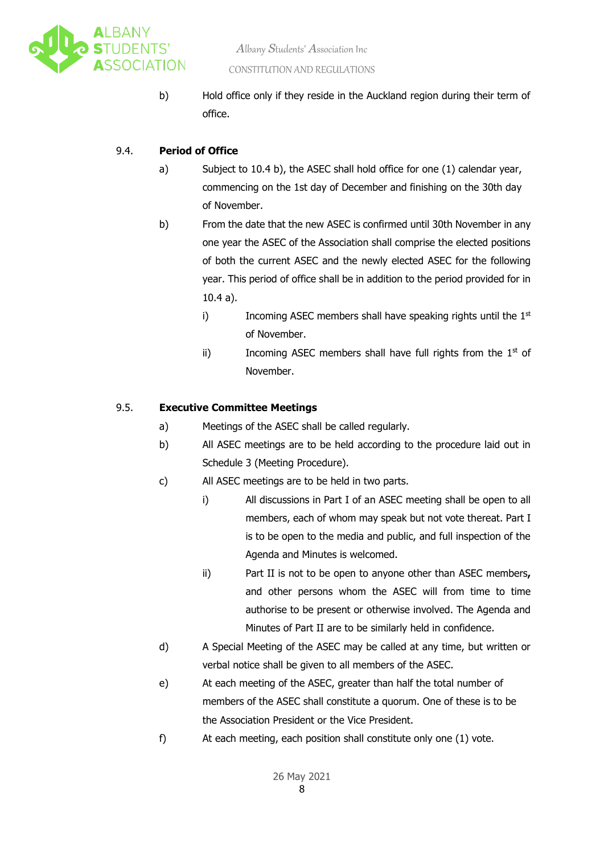<span id="page-10-2"></span>

b) Hold office only if they reside in the Auckland region during their term of office.

#### <span id="page-10-0"></span>9.4. **Period of Office**

- a) Subject to 10.4 b), the ASEC shall hold office for one (1) calendar year, commencing on the 1st day of December and finishing on the 30th day of November.
- b) From the date that the new ASEC is confirmed until 30th November in any one year the ASEC of the Association shall comprise the elected positions of both the current ASEC and the newly elected ASEC for the following year. This period of office shall be in addition to the period provided for in 10.4 a).
	- i) Incoming ASEC members shall have speaking rights until the  $1<sup>st</sup>$ of November.
	- ii) Incoming ASEC members shall have full rights from the  $1<sup>st</sup>$  of November.

#### <span id="page-10-1"></span>9.5. **Executive Committee Meetings**

- a) Meetings of the ASEC shall be called regularly.
- b) All ASEC meetings are to be held according to the procedure laid out in Schedule 3 (Meeting Procedure).
- c) All ASEC meetings are to be held in two parts.
	- i) All discussions in Part I of an ASEC meeting shall be open to all members, each of whom may speak but not vote thereat. Part I is to be open to the media and public, and full inspection of the Agenda and Minutes is welcomed.
	- ii) Part II is not to be open to anyone other than ASEC members**,**  and other persons whom the ASEC will from time to time authorise to be present or otherwise involved. The Agenda and Minutes of Part II are to be similarly held in confidence.
- d) A Special Meeting of the ASEC may be called at any time, but written or verbal notice shall be given to all members of the ASEC.
- e) At each meeting of the ASEC, greater than half the total number of members of the ASEC shall constitute a quorum. One of these is to be the Association President or the Vice President.
- f) At each meeting, each position shall constitute only one (1) vote.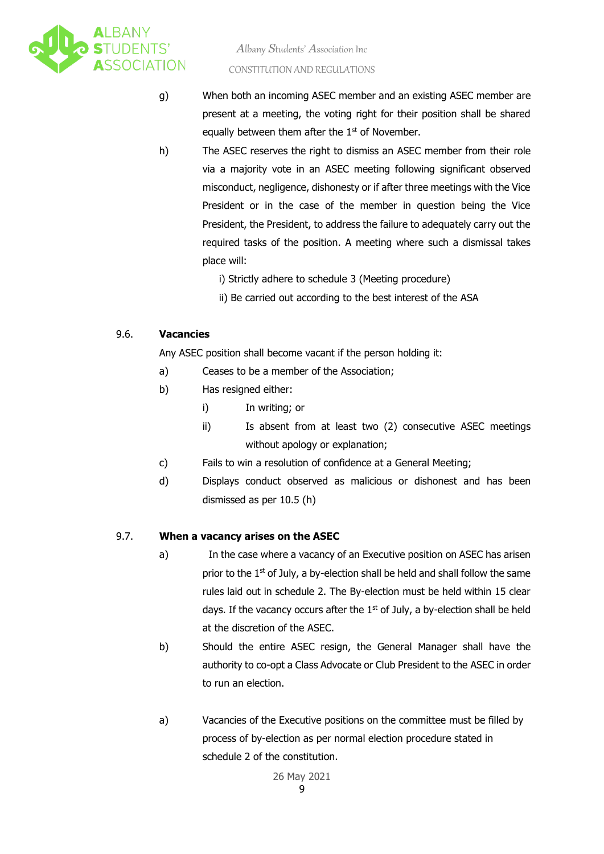<span id="page-11-2"></span>

- g) When both an incoming ASEC member and an existing ASEC member are present at a meeting, the voting right for their position shall be shared equally between them after the  $1<sup>st</sup>$  of November.
- h) The ASEC reserves the right to dismiss an ASEC member from their role via a majority vote in an ASEC meeting following significant observed misconduct, negligence, dishonesty or if after three meetings with the Vice President or in the case of the member in question being the Vice President, the President, to address the failure to adequately carry out the required tasks of the position. A meeting where such a dismissal takes place will:
	- i) Strictly adhere to schedule 3 (Meeting procedure)
	- ii) Be carried out according to the best interest of the ASA

#### <span id="page-11-0"></span>9.6. **Vacancies**

Any ASEC position shall become vacant if the person holding it:

- a) Ceases to be a member of the Association;
- b) Has resigned either:
	- i) In writing; or
	- ii) Is absent from at least two (2) consecutive ASEC meetings without apology or explanation;
- c) Fails to win a resolution of confidence at a General Meeting;
- d) Displays conduct observed as malicious or dishonest and has been dismissed as per 10.5 (h)

#### <span id="page-11-1"></span>9.7. **When a vacancy arises on the ASEC**

- a) In the case where a vacancy of an Executive position on ASEC has arisen prior to the 1<sup>st</sup> of July, a by-election shall be held and shall follow the same rules laid out in schedule 2. The By-election must be held within 15 clear days. If the vacancy occurs after the  $1<sup>st</sup>$  of July, a by-election shall be held at the discretion of the ASEC.
- b) Should the entire ASEC resign, the General Manager shall have the authority to co-opt a Class Advocate or Club President to the ASEC in order to run an election.
- a) Vacancies of the Executive positions on the committee must be filled by process of by-election as per normal election procedure stated in schedule 2 of the constitution.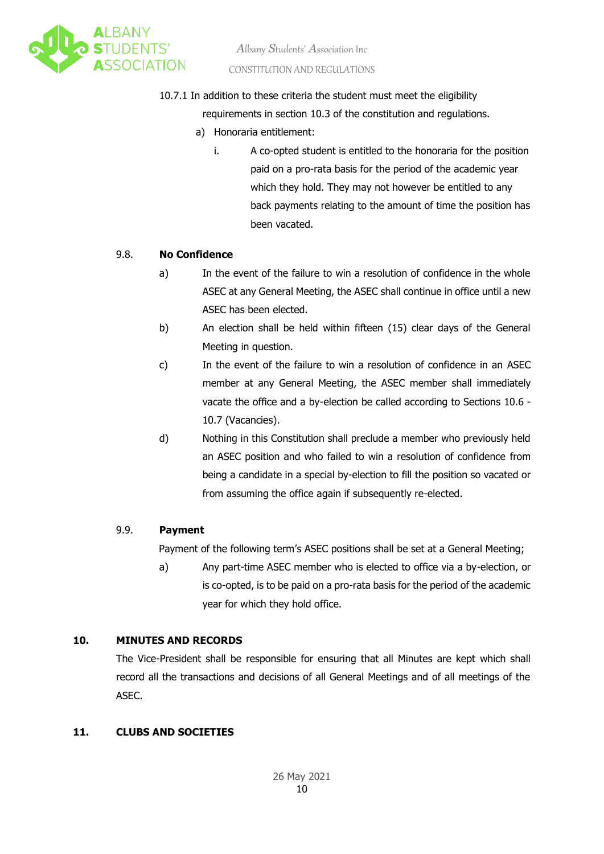<span id="page-12-4"></span>

10.7.1 In addition to these criteria the student must meet the eligibility

requirements in section 10.3 of the constitution and regulations.

- a) Honoraria entitlement:
	- i. A co-opted student is entitled to the honoraria for the position paid on a pro-rata basis for the period of the academic year which they hold. They may not however be entitled to any back payments relating to the amount of time the position has been vacated.

#### <span id="page-12-0"></span>9.8. **No Confidence**

- a) In the event of the failure to win a resolution of confidence in the whole ASEC at any General Meeting, the ASEC shall continue in office until a new ASEC has been elected.
- b) An election shall be held within fifteen (15) clear days of the General Meeting in question.
- c) In the event of the failure to win a resolution of confidence in an ASEC member at any General Meeting, the ASEC member shall immediately vacate the office and a by-election be called according to Sections 10.6 - 10.7 (Vacancies).
- d) Nothing in this Constitution shall preclude a member who previously held an ASEC position and who failed to win a resolution of confidence from being a candidate in a special by-election to fill the position so vacated or from assuming the office again if subsequently re-elected.

#### <span id="page-12-1"></span>9.9. **Payment**

Payment of the following term's ASEC positions shall be set at a General Meeting;

a) Any part-time ASEC member who is elected to office via a by-election, or is co-opted, is to be paid on a pro-rata basis for the period of the academic year for which they hold office.

#### <span id="page-12-2"></span>**10. MINUTES AND RECORDS**

The Vice-President shall be responsible for ensuring that all Minutes are kept which shall record all the transactions and decisions of all General Meetings and of all meetings of the ASEC.

#### <span id="page-12-3"></span>**11. CLUBS AND SOCIETIES**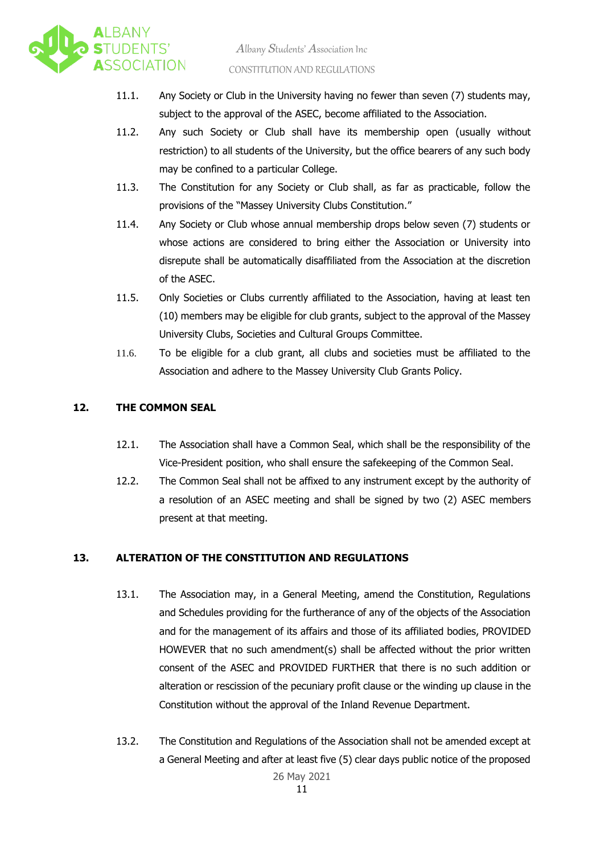<span id="page-13-2"></span>

- 11.1. Any Society or Club in the University having no fewer than seven (7) students may, subject to the approval of the ASEC, become affiliated to the Association.
- 11.2. Any such Society or Club shall have its membership open (usually without restriction) to all students of the University, but the office bearers of any such body may be confined to a particular College.
- 11.3. The Constitution for any Society or Club shall, as far as practicable, follow the provisions of the "Massey University Clubs Constitution."
- 11.4. Any Society or Club whose annual membership drops below seven (7) students or whose actions are considered to bring either the Association or University into disrepute shall be automatically disaffiliated from the Association at the discretion of the ASEC.
- 11.5. Only Societies or Clubs currently affiliated to the Association, having at least ten (10) members may be eligible for club grants, subject to the approval of the Massey University Clubs, Societies and Cultural Groups Committee.
- 11.6. To be eligible for a club grant, all clubs and societies must be affiliated to the Association and adhere to the Massey University Club Grants Policy.

#### <span id="page-13-0"></span>**12. THE COMMON SEAL**

- 12.1. The Association shall have a Common Seal, which shall be the responsibility of the Vice-President position, who shall ensure the safekeeping of the Common Seal.
- 12.2. The Common Seal shall not be affixed to any instrument except by the authority of a resolution of an ASEC meeting and shall be signed by two (2) ASEC members present at that meeting.

#### <span id="page-13-1"></span>**13. ALTERATION OF THE CONSTITUTION AND REGULATIONS**

- 13.1. The Association may, in a General Meeting, amend the Constitution, Regulations and Schedules providing for the furtherance of any of the objects of the Association and for the management of its affairs and those of its affiliated bodies, PROVIDED HOWEVER that no such amendment(s) shall be affected without the prior written consent of the ASEC and PROVIDED FURTHER that there is no such addition or alteration or rescission of the pecuniary profit clause or the winding up clause in the Constitution without the approval of the Inland Revenue Department.
- 26 May 2021 13.2. The Constitution and Regulations of the Association shall not be amended except at a General Meeting and after at least five (5) clear days public notice of the proposed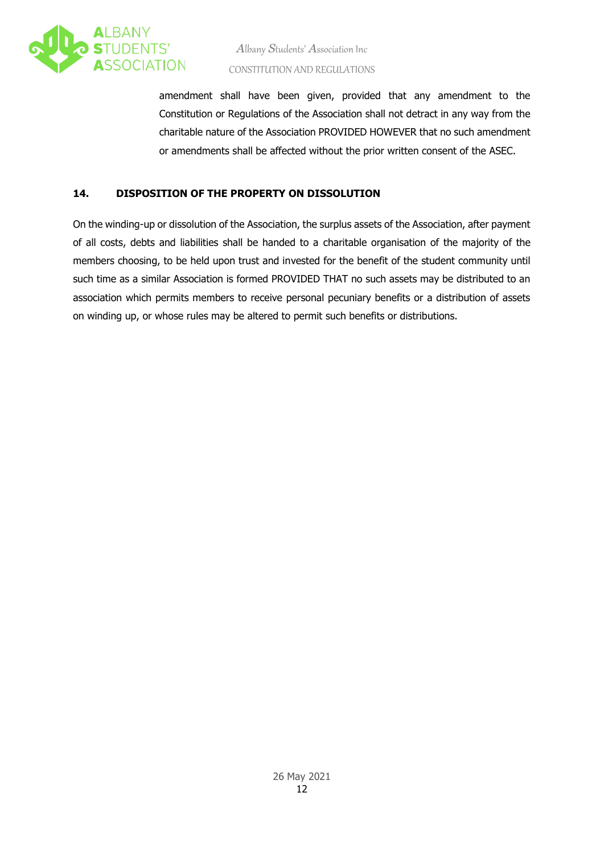<span id="page-14-1"></span>

amendment shall have been given, provided that any amendment to the Constitution or Regulations of the Association shall not detract in any way from the charitable nature of the Association PROVIDED HOWEVER that no such amendment or amendments shall be affected without the prior written consent of the ASEC.

#### <span id="page-14-0"></span>**14. DISPOSITION OF THE PROPERTY ON DISSOLUTION**

On the winding-up or dissolution of the Association, the surplus assets of the Association, after payment of all costs, debts and liabilities shall be handed to a charitable organisation of the majority of the members choosing, to be held upon trust and invested for the benefit of the student community until such time as a similar Association is formed PROVIDED THAT no such assets may be distributed to an association which permits members to receive personal pecuniary benefits or a distribution of assets on winding up, or whose rules may be altered to permit such benefits or distributions.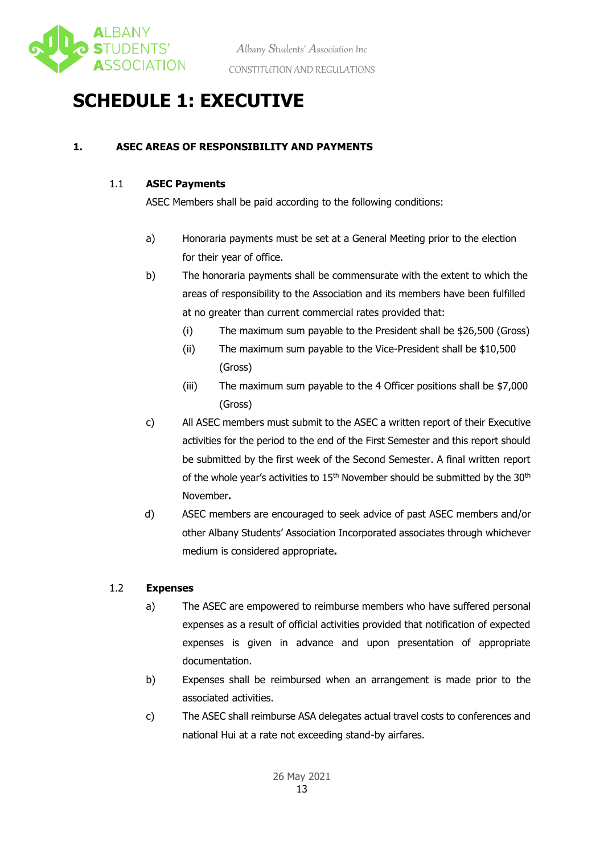

### **SCHEDULE 1: EXECUTIVE**

#### **1. ASEC AREAS OF RESPONSIBILITY AND PAYMENTS**

#### 1.1 **ASEC Payments**

ASEC Members shall be paid according to the following conditions:

- a) Honoraria payments must be set at a General Meeting prior to the election for their year of office.
- b) The honoraria payments shall be commensurate with the extent to which the areas of responsibility to the Association and its members have been fulfilled at no greater than current commercial rates provided that:
	- (i) The maximum sum payable to the President shall be \$26,500 (Gross)
	- (ii) The maximum sum payable to the Vice-President shall be \$10,500 (Gross)
	- (iii) The maximum sum payable to the 4 Officer positions shall be \$7,000 (Gross)
- c) All ASEC members must submit to the ASEC a written report of their Executive activities for the period to the end of the First Semester and this report should be submitted by the first week of the Second Semester. A final written report of the whole year's activities to  $15<sup>th</sup>$  November should be submitted by the  $30<sup>th</sup>$ November**.**
- d) ASEC members are encouraged to seek advice of past ASEC members and/or other Albany Students' Association Incorporated associates through whichever medium is considered appropriate**.**

#### 1.2 **Expenses**

- a) The ASEC are empowered to reimburse members who have suffered personal expenses as a result of official activities provided that notification of expected expenses is given in advance and upon presentation of appropriate documentation.
- b) Expenses shall be reimbursed when an arrangement is made prior to the associated activities.
- c) The ASEC shall reimburse ASA delegates actual travel costs to conferences and national Hui at a rate not exceeding stand-by airfares.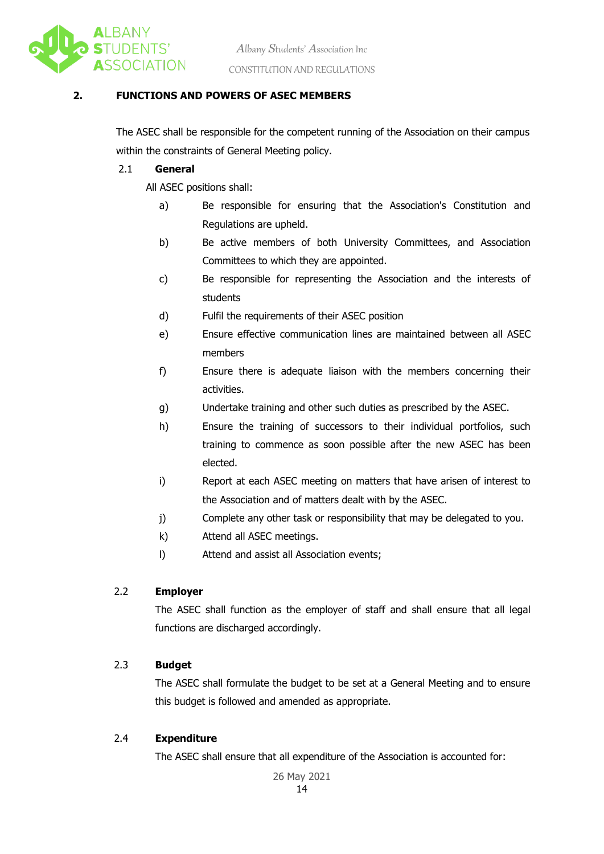

#### **2. FUNCTIONS AND POWERS OF ASEC MEMBERS**

The ASEC shall be responsible for the competent running of the Association on their campus within the constraints of General Meeting policy.

#### 2.1 **General**

All ASEC positions shall:

- a) Be responsible for ensuring that the Association's Constitution and Regulations are upheld.
- b) Be active members of both University Committees, and Association Committees to which they are appointed.
- c) Be responsible for representing the Association and the interests of students
- d) Fulfil the requirements of their ASEC position
- e) Ensure effective communication lines are maintained between all ASEC members
- f) Ensure there is adequate liaison with the members concerning their activities.
- g) Undertake training and other such duties as prescribed by the ASEC.
- h) Ensure the training of successors to their individual portfolios, such training to commence as soon possible after the new ASEC has been elected.
- i) Report at each ASEC meeting on matters that have arisen of interest to the Association and of matters dealt with by the ASEC.
- j) Complete any other task or responsibility that may be delegated to you.
- k) Attend all ASEC meetings.
- l) Attend and assist all Association events;

#### 2.2 **Employer**

The ASEC shall function as the employer of staff and shall ensure that all legal functions are discharged accordingly.

#### 2.3 **Budget**

The ASEC shall formulate the budget to be set at a General Meeting and to ensure this budget is followed and amended as appropriate.

#### 2.4 **Expenditure**

The ASEC shall ensure that all expenditure of the Association is accounted for: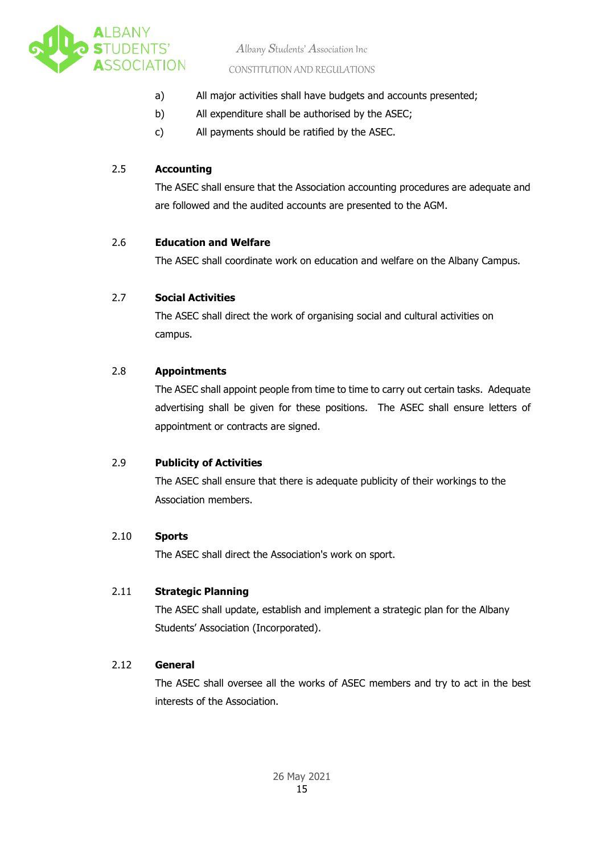

*A*lbany *S*tudents' *A*ssociation Inc

#### CONSTITUTION AND REGULATIONS

- a) All major activities shall have budgets and accounts presented;
- b) All expenditure shall be authorised by the ASEC;
- c) All payments should be ratified by the ASEC.

#### 2.5 **Accounting**

The ASEC shall ensure that the Association accounting procedures are adequate and are followed and the audited accounts are presented to the AGM.

#### 2.6 **Education and Welfare**

The ASEC shall coordinate work on education and welfare on the Albany Campus.

#### 2.7 **Social Activities**

The ASEC shall direct the work of organising social and cultural activities on campus.

#### 2.8 **Appointments**

The ASEC shall appoint people from time to time to carry out certain tasks. Adequate advertising shall be given for these positions. The ASEC shall ensure letters of appointment or contracts are signed.

#### 2.9 **Publicity of Activities**

The ASEC shall ensure that there is adequate publicity of their workings to the Association members.

#### 2.10 **Sports**

The ASEC shall direct the Association's work on sport.

#### 2.11 **Strategic Planning**

The ASEC shall update, establish and implement a strategic plan for the Albany Students' Association (Incorporated).

#### 2.12 **General**

The ASEC shall oversee all the works of ASEC members and try to act in the best interests of the Association.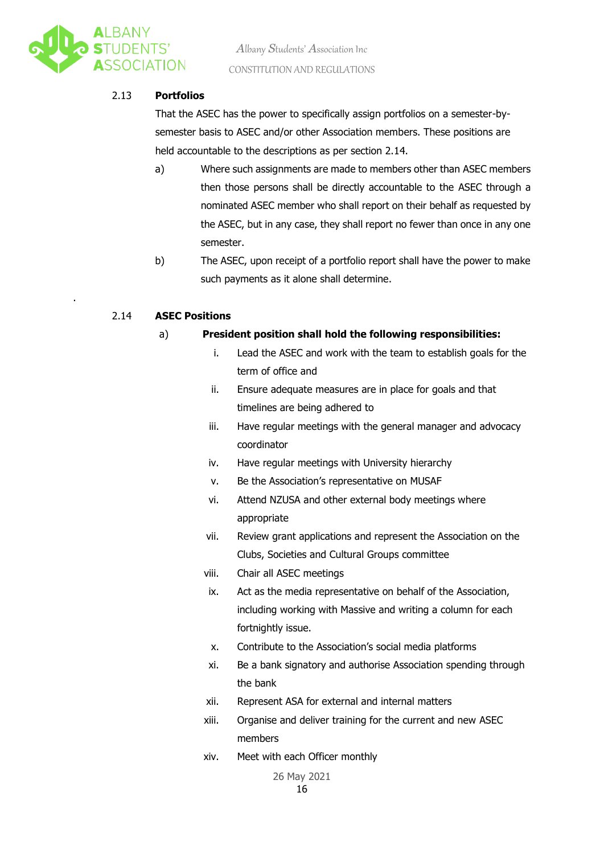

.

#### 2.13 **Portfolios**

That the ASEC has the power to specifically assign portfolios on a semester-bysemester basis to ASEC and/or other Association members. These positions are held accountable to the descriptions as per section 2.14.

- a) Where such assignments are made to members other than ASEC members then those persons shall be directly accountable to the ASEC through a nominated ASEC member who shall report on their behalf as requested by the ASEC, but in any case, they shall report no fewer than once in any one semester.
- b) The ASEC, upon receipt of a portfolio report shall have the power to make such payments as it alone shall determine.

#### 2.14 **ASEC Positions**

#### a) **President position shall hold the following responsibilities:**

- i. Lead the ASEC and work with the team to establish goals for the term of office and
- ii. Ensure adequate measures are in place for goals and that timelines are being adhered to
- iii. Have regular meetings with the general manager and advocacy coordinator
- iv. Have regular meetings with University hierarchy
- v. Be the Association's representative on MUSAF
- vi. Attend NZUSA and other external body meetings where appropriate
- vii. Review grant applications and represent the Association on the Clubs, Societies and Cultural Groups committee
- viii. Chair all ASEC meetings
- ix. Act as the media representative on behalf of the Association, including working with Massive and writing a column for each fortnightly issue.
- x. Contribute to the Association's social media platforms
- xi. Be a bank signatory and authorise Association spending through the bank
- xii. Represent ASA for external and internal matters
- xiii. Organise and deliver training for the current and new ASEC members
- xiv. Meet with each Officer monthly

26 May 2021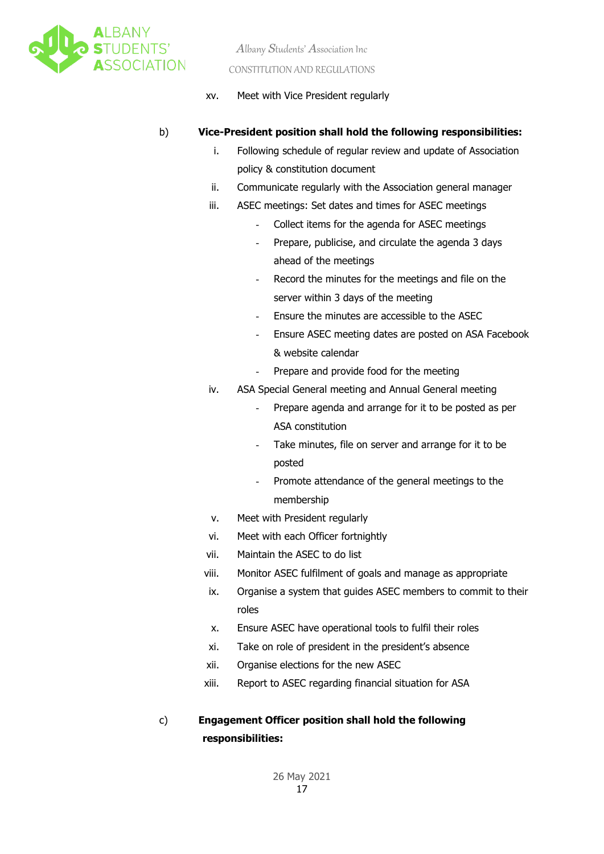

xv. Meet with Vice President regularly

#### b) **Vice-President position shall hold the following responsibilities:**

- i. Following schedule of regular review and update of Association policy & constitution document
- ii. Communicate regularly with the Association general manager
- iii. ASEC meetings: Set dates and times for ASEC meetings
	- Collect items for the agenda for ASEC meetings
	- Prepare, publicise, and circulate the agenda 3 days ahead of the meetings
	- Record the minutes for the meetings and file on the server within 3 days of the meeting
	- Ensure the minutes are accessible to the ASEC
	- Ensure ASEC meeting dates are posted on ASA Facebook & website calendar
	- Prepare and provide food for the meeting
- iv. ASA Special General meeting and Annual General meeting
	- Prepare agenda and arrange for it to be posted as per ASA constitution
	- Take minutes, file on server and arrange for it to be posted
	- Promote attendance of the general meetings to the membership
- v. Meet with President regularly
- vi. Meet with each Officer fortnightly
- vii. Maintain the ASEC to do list
- viii. Monitor ASEC fulfilment of goals and manage as appropriate
- ix. Organise a system that guides ASEC members to commit to their roles
- x. Ensure ASEC have operational tools to fulfil their roles
- xi. Take on role of president in the president's absence
- xii. Organise elections for the new ASEC
- xiii. Report to ASEC regarding financial situation for ASA

### c) **Engagement Officer position shall hold the following responsibilities:**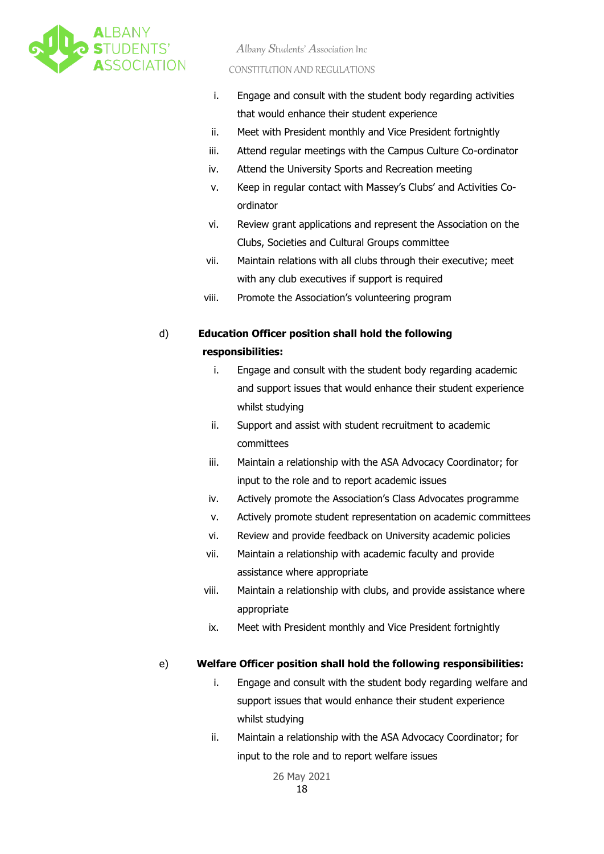

- i. Engage and consult with the student body regarding activities that would enhance their student experience
- ii. Meet with President monthly and Vice President fortnightly
- iii. Attend regular meetings with the Campus Culture Co-ordinator
- iv. Attend the University Sports and Recreation meeting
- v. Keep in regular contact with Massey's Clubs' and Activities Coordinator
- vi. Review grant applications and represent the Association on the Clubs, Societies and Cultural Groups committee
- vii. Maintain relations with all clubs through their executive; meet with any club executives if support is required
- viii. Promote the Association's volunteering program

### d) **Education Officer position shall hold the following responsibilities:**

- i. Engage and consult with the student body regarding academic and support issues that would enhance their student experience whilst studying
- ii. Support and assist with student recruitment to academic committees
- iii. Maintain a relationship with the ASA Advocacy Coordinator; for input to the role and to report academic issues
- iv. Actively promote the Association's Class Advocates programme
- v. Actively promote student representation on academic committees
- vi. Review and provide feedback on University academic policies
- vii. Maintain a relationship with academic faculty and provide assistance where appropriate
- viii. Maintain a relationship with clubs, and provide assistance where appropriate
- ix. Meet with President monthly and Vice President fortnightly

#### e) **Welfare Officer position shall hold the following responsibilities:**

- i. Engage and consult with the student body regarding welfare and support issues that would enhance their student experience whilst studying
- ii. Maintain a relationship with the ASA Advocacy Coordinator; for input to the role and to report welfare issues

26 May 2021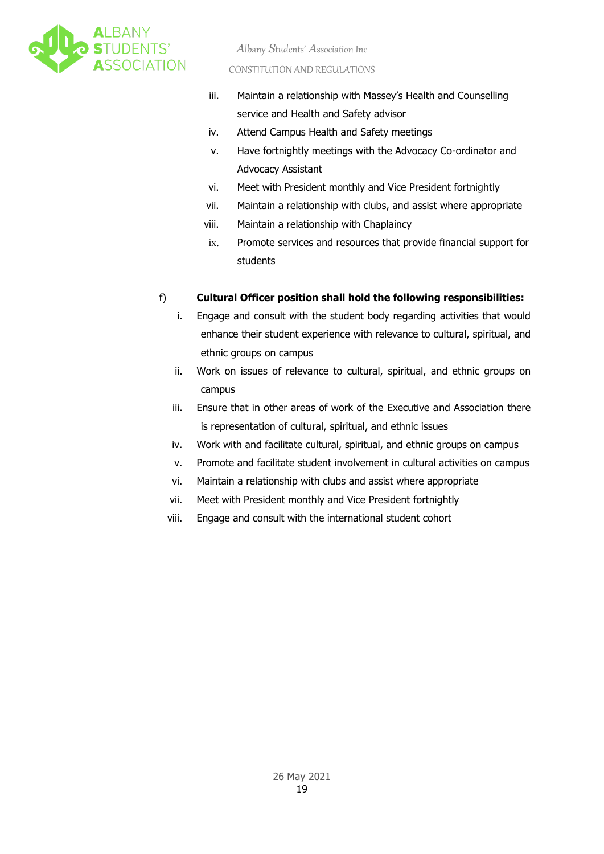

- iii. Maintain a relationship with Massey's Health and Counselling service and Health and Safety advisor
- iv. Attend Campus Health and Safety meetings
- v. Have fortnightly meetings with the Advocacy Co-ordinator and Advocacy Assistant
- vi. Meet with President monthly and Vice President fortnightly
- vii. Maintain a relationship with clubs, and assist where appropriate
- viii. Maintain a relationship with Chaplaincy
- ix. Promote services and resources that provide financial support for students

#### f) **Cultural Officer position shall hold the following responsibilities:**

- i. Engage and consult with the student body regarding activities that would enhance their student experience with relevance to cultural, spiritual, and ethnic groups on campus
- ii. Work on issues of relevance to cultural, spiritual, and ethnic groups on campus
- iii. Ensure that in other areas of work of the Executive and Association there is representation of cultural, spiritual, and ethnic issues
- iv. Work with and facilitate cultural, spiritual, and ethnic groups on campus
- v. Promote and facilitate student involvement in cultural activities on campus
- vi. Maintain a relationship with clubs and assist where appropriate
- vii. Meet with President monthly and Vice President fortnightly
- viii. Engage and consult with the international student cohort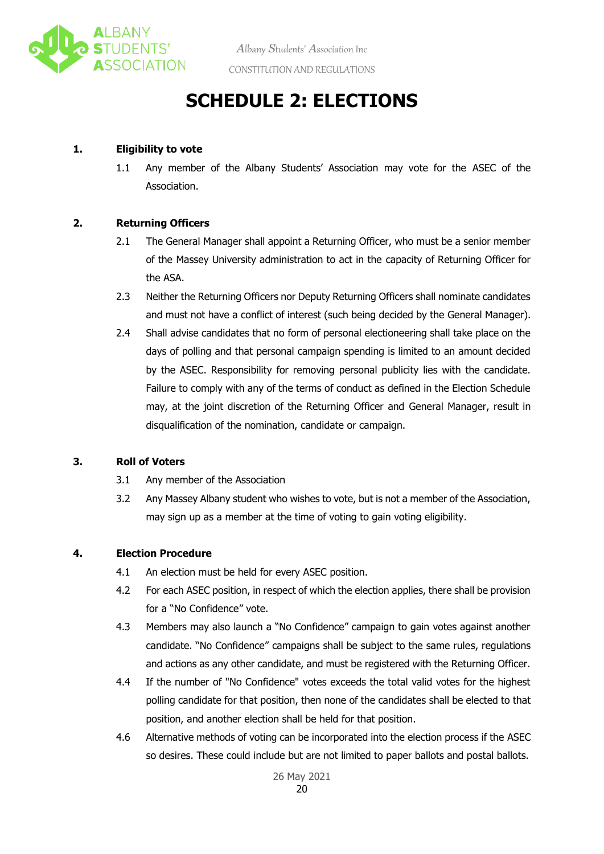

### **SCHEDULE 2: ELECTIONS**

#### **1. Eligibility to vote**

1.1 Any member of the Albany Students' Association may vote for the ASEC of the Association.

#### **2. Returning Officers**

- 2.1 The General Manager shall appoint a Returning Officer, who must be a senior member of the Massey University administration to act in the capacity of Returning Officer for the ASA.
- 2.3 Neither the Returning Officers nor Deputy Returning Officers shall nominate candidates and must not have a conflict of interest (such being decided by the General Manager).
- 2.4 Shall advise candidates that no form of personal electioneering shall take place on the days of polling and that personal campaign spending is limited to an amount decided by the ASEC. Responsibility for removing personal publicity lies with the candidate. Failure to comply with any of the terms of conduct as defined in the Election Schedule may, at the joint discretion of the Returning Officer and General Manager, result in disqualification of the nomination, candidate or campaign.

#### **3. Roll of Voters**

- 3.1 Any member of the Association
- 3.2 Any Massey Albany student who wishes to vote, but is not a member of the Association, may sign up as a member at the time of voting to gain voting eligibility.

#### **4. Election Procedure**

- 4.1 An election must be held for every ASEC position.
- 4.2 For each ASEC position, in respect of which the election applies, there shall be provision for a "No Confidence" vote.
- 4.3 Members may also launch a "No Confidence" campaign to gain votes against another candidate. "No Confidence" campaigns shall be subject to the same rules, regulations and actions as any other candidate, and must be registered with the Returning Officer.
- 4.4 If the number of "No Confidence" votes exceeds the total valid votes for the highest polling candidate for that position, then none of the candidates shall be elected to that position, and another election shall be held for that position.
- 4.6 Alternative methods of voting can be incorporated into the election process if the ASEC so desires. These could include but are not limited to paper ballots and postal ballots.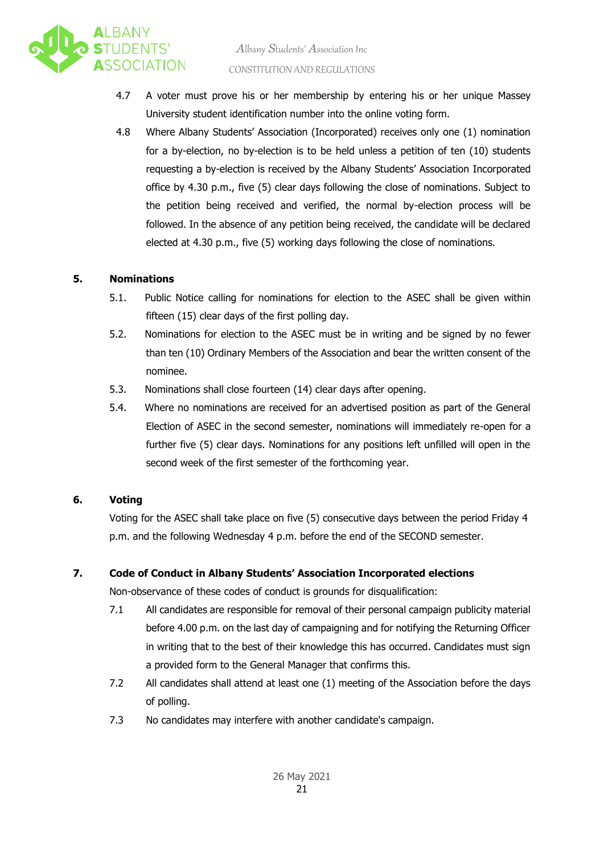

- 4.7 A voter must prove his or her membership by entering his or her unique Massey University student identification number into the online voting form.
- 4.8 Where Albany Students' Association (Incorporated) receives only one (1) nomination for a by-election, no by-election is to be held unless a petition of ten (10) students requesting a by-election is received by the Albany Students' Association Incorporated office by 4.30 p.m., five (5) clear days following the close of nominations. Subject to the petition being received and verified, the normal by-election process will be followed. In the absence of any petition being received, the candidate will be declared elected at 4.30 p.m., five (5) working days following the close of nominations.

#### **5. Nominations**

- 5.1. Public Notice calling for nominations for election to the ASEC shall be given within fifteen (15) clear days of the first polling day.
- 5.2. Nominations for election to the ASEC must be in writing and be signed by no fewer than ten (10) Ordinary Members of the Association and bear the written consent of the nominee.
- 5.3. Nominations shall close fourteen (14) clear days after opening.
- 5.4. Where no nominations are received for an advertised position as part of the General Election of ASEC in the second semester, nominations will immediately re-open for a further five (5) clear days. Nominations for any positions left unfilled will open in the second week of the first semester of the forthcoming year.

#### **6. Voting**

Voting for the ASEC shall take place on five (5) consecutive days between the period Friday 4 p.m. and the following Wednesday 4 p.m. before the end of the SECOND semester.

#### **7. Code of Conduct in Albany Students' Association Incorporated elections**

Non-observance of these codes of conduct is grounds for disqualification:

- 7.1 All candidates are responsible for removal of their personal campaign publicity material before 4.00 p.m. on the last day of campaigning and for notifying the Returning Officer in writing that to the best of their knowledge this has occurred. Candidates must sign a provided form to the General Manager that confirms this.
- 7.2 All candidates shall attend at least one (1) meeting of the Association before the days of polling.
- 7.3 No candidates may interfere with another candidate's campaign.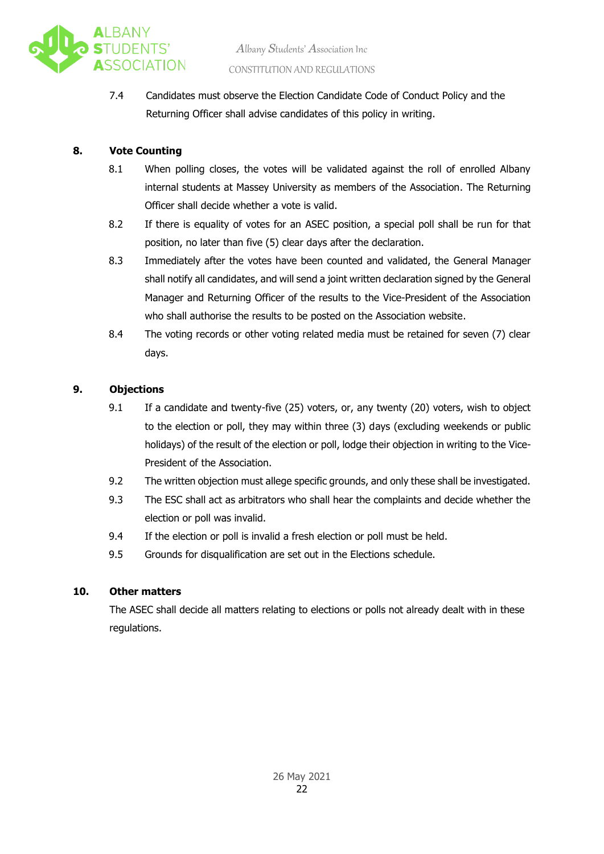

7.4 Candidates must observe the Election Candidate Code of Conduct Policy and the Returning Officer shall advise candidates of this policy in writing.

#### **8. Vote Counting**

- 8.1 When polling closes, the votes will be validated against the roll of enrolled Albany internal students at Massey University as members of the Association. The Returning Officer shall decide whether a vote is valid.
- 8.2 If there is equality of votes for an ASEC position, a special poll shall be run for that position, no later than five (5) clear days after the declaration.
- 8.3 Immediately after the votes have been counted and validated, the General Manager shall notify all candidates, and will send a joint written declaration signed by the General Manager and Returning Officer of the results to the Vice-President of the Association who shall authorise the results to be posted on the Association website.
- 8.4 The voting records or other voting related media must be retained for seven (7) clear days.

#### **9. Objections**

- 9.1 If a candidate and twenty-five (25) voters, or, any twenty (20) voters, wish to object to the election or poll, they may within three (3) days (excluding weekends or public holidays) of the result of the election or poll, lodge their objection in writing to the Vice-President of the Association.
- 9.2 The written objection must allege specific grounds, and only these shall be investigated.
- 9.3 The ESC shall act as arbitrators who shall hear the complaints and decide whether the election or poll was invalid.
- 9.4 If the election or poll is invalid a fresh election or poll must be held.
- 9.5 Grounds for disqualification are set out in the Elections schedule.

#### **10. Other matters**

The ASEC shall decide all matters relating to elections or polls not already dealt with in these regulations.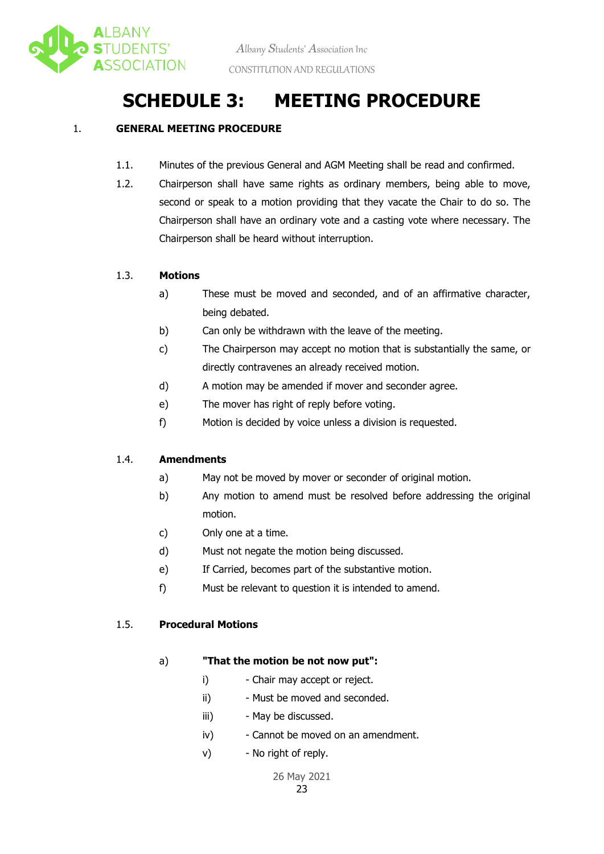

### **SCHEDULE 3: MEETING PROCEDURE**

#### 1. **GENERAL MEETING PROCEDURE**

- 1.1. Minutes of the previous General and AGM Meeting shall be read and confirmed.
- 1.2. Chairperson shall have same rights as ordinary members, being able to move, second or speak to a motion providing that they vacate the Chair to do so. The Chairperson shall have an ordinary vote and a casting vote where necessary. The Chairperson shall be heard without interruption.

#### 1.3. **Motions**

- a) These must be moved and seconded, and of an affirmative character, being debated.
- b) Can only be withdrawn with the leave of the meeting.
- c) The Chairperson may accept no motion that is substantially the same, or directly contravenes an already received motion.
- d) A motion may be amended if mover and seconder agree.
- e) The mover has right of reply before voting.
- f) Motion is decided by voice unless a division is requested.

#### 1.4. **Amendments**

- a) May not be moved by mover or seconder of original motion.
- b) Any motion to amend must be resolved before addressing the original motion.
- c) Only one at a time.
- d) Must not negate the motion being discussed.
- e) If Carried, becomes part of the substantive motion.
- f) Must be relevant to question it is intended to amend.

#### 1.5. **Procedural Motions**

#### a) **"That the motion be not now put":**

- i) Chair may accept or reject.
- ii) Must be moved and seconded.
- iii) May be discussed.
- iv) Cannot be moved on an amendment.
- v) No right of reply.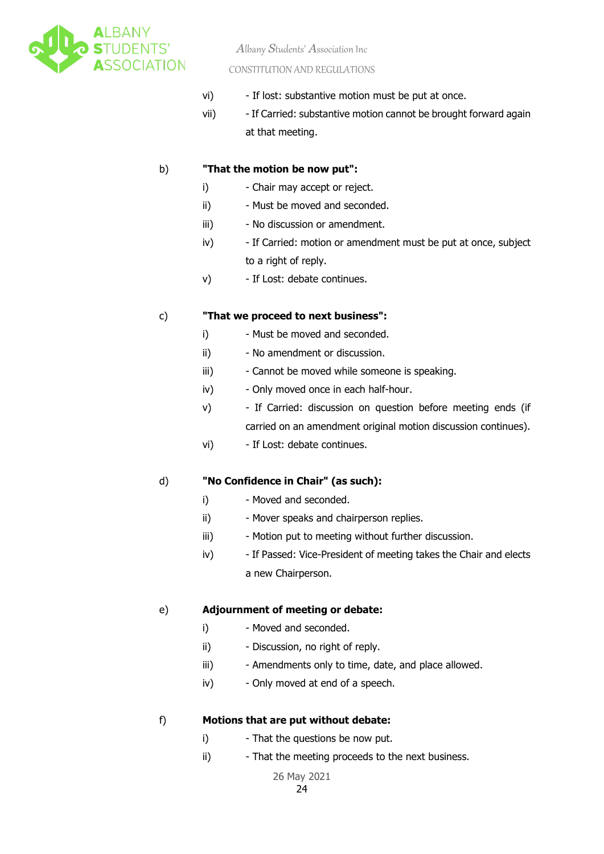

*A*lbany *S*tudents' *A*ssociation Inc

#### CONSTITUTION AND REGULATIONS

- vi) If lost: substantive motion must be put at once.
- vii) If Carried: substantive motion cannot be brought forward again at that meeting.

#### b) **"That the motion be now put":**

- i) Chair may accept or reject.
- ii) Must be moved and seconded.
- iii) No discussion or amendment.
- iv) If Carried: motion or amendment must be put at once, subject to a right of reply.
- v) If Lost: debate continues.

#### c) **"That we proceed to next business":**

- i) Must be moved and seconded.
- ii) No amendment or discussion.
- iii) Cannot be moved while someone is speaking.
- iv) Only moved once in each half-hour.
- v) If Carried: discussion on question before meeting ends (if carried on an amendment original motion discussion continues).
- vi) If Lost: debate continues.

#### d) **"No Confidence in Chair" (as such):**

- i) Moved and seconded.
- ii) Mover speaks and chairperson replies.
- iii) Motion put to meeting without further discussion.
- iv) If Passed: Vice-President of meeting takes the Chair and elects a new Chairperson.

#### e) **Adjournment of meeting or debate:**

- i) Moved and seconded.
- ii) Discussion, no right of reply.
- iii) Amendments only to time, date, and place allowed.
- iv) Only moved at end of a speech.

#### f) **Motions that are put without debate:**

- i) That the questions be now put.
- ii) That the meeting proceeds to the next business.

26 May 2021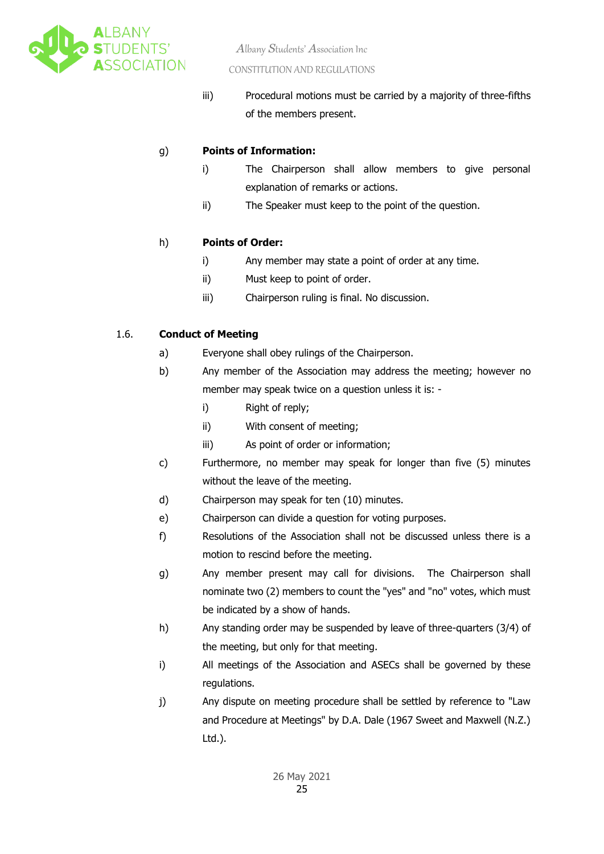

iii) Procedural motions must be carried by a majority of three-fifths of the members present.

#### g) **Points of Information:**

- i) The Chairperson shall allow members to give personal explanation of remarks or actions.
	- ii) The Speaker must keep to the point of the question.

#### h) **Points of Order:**

- i) Any member may state a point of order at any time.
- ii) Must keep to point of order.
- iii) Chairperson ruling is final. No discussion.

#### 1.6. **Conduct of Meeting**

- a) Everyone shall obey rulings of the Chairperson.
- b) Any member of the Association may address the meeting; however no member may speak twice on a question unless it is:
	- i) Right of reply;
	- ii) With consent of meeting;
	- iii) As point of order or information;
- c) Furthermore, no member may speak for longer than five (5) minutes without the leave of the meeting.
- d) Chairperson may speak for ten (10) minutes.
- e) Chairperson can divide a question for voting purposes.
- f) Resolutions of the Association shall not be discussed unless there is a motion to rescind before the meeting.
- g) Any member present may call for divisions. The Chairperson shall nominate two (2) members to count the "yes" and "no" votes, which must be indicated by a show of hands.
- h) Any standing order may be suspended by leave of three-quarters (3/4) of the meeting, but only for that meeting.
- i) All meetings of the Association and ASECs shall be governed by these regulations.
- j) Any dispute on meeting procedure shall be settled by reference to "Law and Procedure at Meetings" by D.A. Dale (1967 Sweet and Maxwell (N.Z.) Ltd.).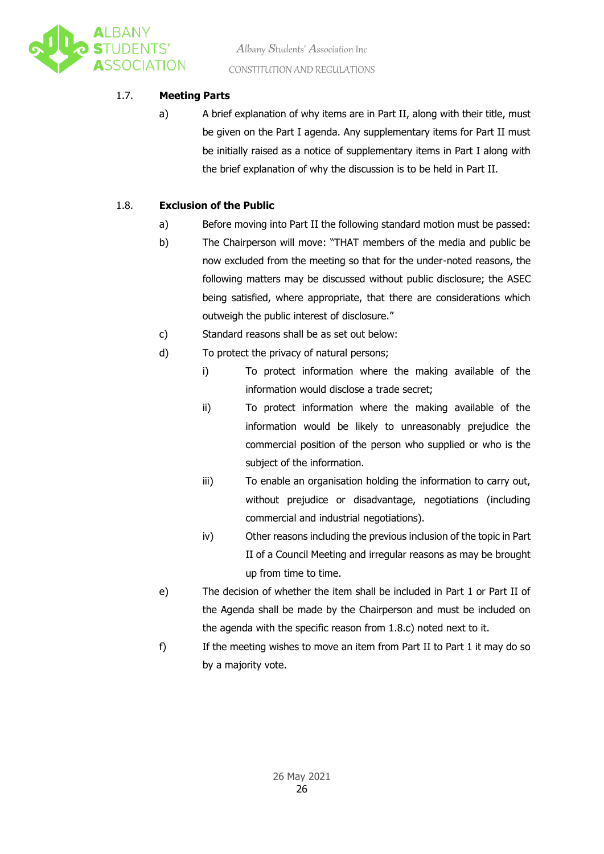

#### 1.7. **Meeting Parts**

a) A brief explanation of why items are in Part II, along with their title, must be given on the Part I agenda. Any supplementary items for Part II must be initially raised as a notice of supplementary items in Part I along with the brief explanation of why the discussion is to be held in Part II.

#### 1.8. **Exclusion of the Public**

- a) Before moving into Part II the following standard motion must be passed:
- b) The Chairperson will move: "THAT members of the media and public be now excluded from the meeting so that for the under-noted reasons, the following matters may be discussed without public disclosure; the ASEC being satisfied, where appropriate, that there are considerations which outweigh the public interest of disclosure."
- c) Standard reasons shall be as set out below:
- d) To protect the privacy of natural persons;
	- i) To protect information where the making available of the information would disclose a trade secret;
	- ii) To protect information where the making available of the information would be likely to unreasonably prejudice the commercial position of the person who supplied or who is the subject of the information.
	- iii) To enable an organisation holding the information to carry out, without prejudice or disadvantage, negotiations (including commercial and industrial negotiations).
	- iv) Other reasons including the previous inclusion of the topic in Part II of a Council Meeting and irregular reasons as may be brought up from time to time.
- e) The decision of whether the item shall be included in Part 1 or Part II of the Agenda shall be made by the Chairperson and must be included on the agenda with the specific reason from 1.8.c) noted next to it.
- f) If the meeting wishes to move an item from Part II to Part 1 it may do so by a majority vote.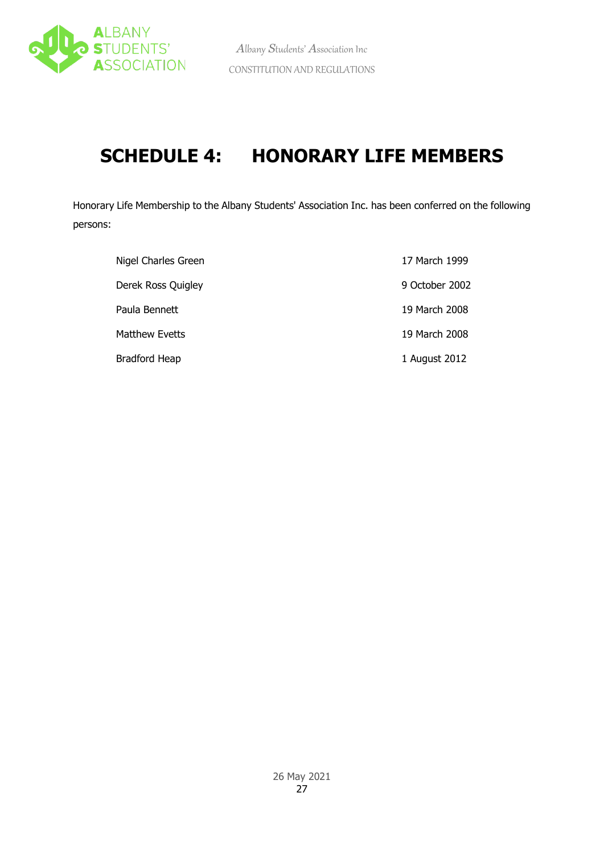

# **SCHEDULE 4: HONORARY LIFE MEMBERS**

Honorary Life Membership to the Albany Students' Association Inc. has been conferred on the following persons:

| Nigel Charles Green  | 17 March 1999  |
|----------------------|----------------|
| Derek Ross Quigley   | 9 October 2002 |
| Paula Bennett        | 19 March 2008  |
| Matthew Evetts       | 19 March 2008  |
| <b>Bradford Heap</b> | 1 August 2012  |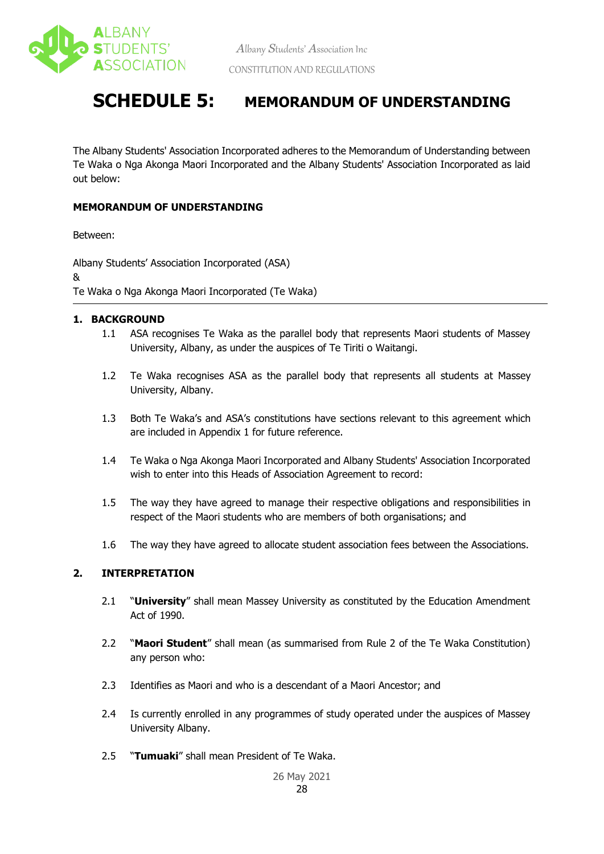

### **SCHEDULE 5: MEMORANDUM OF UNDERSTANDING**

The Albany Students' Association Incorporated adheres to the Memorandum of Understanding between Te Waka o Nga Akonga Maori Incorporated and the Albany Students' Association Incorporated as laid out below:

#### **MEMORANDUM OF UNDERSTANDING**

Between:

Albany Students' Association Incorporated (ASA) & Te Waka o Nga Akonga Maori Incorporated (Te Waka)

#### **1. BACKGROUND**

- 1.1 ASA recognises Te Waka as the parallel body that represents Maori students of Massey University, Albany, as under the auspices of Te Tiriti o Waitangi.
- 1.2 Te Waka recognises ASA as the parallel body that represents all students at Massey University, Albany.
- 1.3 Both Te Waka's and ASA's constitutions have sections relevant to this agreement which are included in Appendix 1 for future reference.
- 1.4 Te Waka o Nga Akonga Maori Incorporated and Albany Students' Association Incorporated wish to enter into this Heads of Association Agreement to record:
- 1.5 The way they have agreed to manage their respective obligations and responsibilities in respect of the Maori students who are members of both organisations; and
- 1.6 The way they have agreed to allocate student association fees between the Associations.

#### **2. INTERPRETATION**

- 2.1 "**University**" shall mean Massey University as constituted by the Education Amendment Act of 1990.
- 2.2 "**Maori Student**" shall mean (as summarised from Rule 2 of the Te Waka Constitution) any person who:
- 2.3 Identifies as Maori and who is a descendant of a Maori Ancestor; and
- 2.4 Is currently enrolled in any programmes of study operated under the auspices of Massey University Albany.
- 2.5 "**Tumuaki**" shall mean President of Te Waka.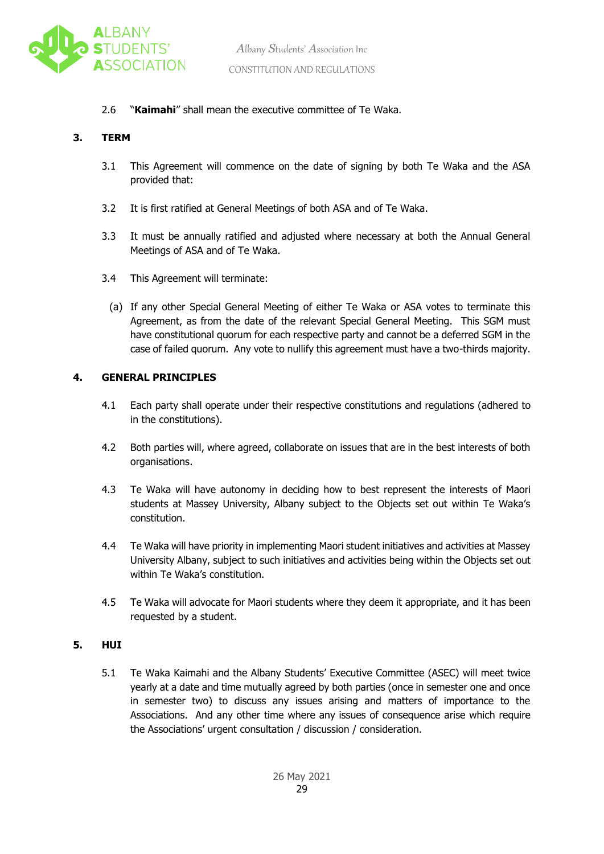

#### 2.6 "**Kaimahi**" shall mean the executive committee of Te Waka.

#### **3. TERM**

- 3.1 This Agreement will commence on the date of signing by both Te Waka and the ASA provided that:
- 3.2 It is first ratified at General Meetings of both ASA and of Te Waka.
- 3.3 It must be annually ratified and adjusted where necessary at both the Annual General Meetings of ASA and of Te Waka.
- 3.4 This Agreement will terminate:
	- (a) If any other Special General Meeting of either Te Waka or ASA votes to terminate this Agreement, as from the date of the relevant Special General Meeting. This SGM must have constitutional quorum for each respective party and cannot be a deferred SGM in the case of failed quorum. Any vote to nullify this agreement must have a two-thirds majority.

#### **4. GENERAL PRINCIPLES**

- 4.1 Each party shall operate under their respective constitutions and regulations (adhered to in the constitutions).
- 4.2 Both parties will, where agreed, collaborate on issues that are in the best interests of both organisations.
- 4.3 Te Waka will have autonomy in deciding how to best represent the interests of Maori students at Massey University, Albany subject to the Objects set out within Te Waka's constitution.
- 4.4 Te Waka will have priority in implementing Maori student initiatives and activities at Massey University Albany, subject to such initiatives and activities being within the Objects set out within Te Waka's constitution.
- 4.5 Te Waka will advocate for Maori students where they deem it appropriate, and it has been requested by a student.

#### **5. HUI**

5.1 Te Waka Kaimahi and the Albany Students' Executive Committee (ASEC) will meet twice yearly at a date and time mutually agreed by both parties (once in semester one and once in semester two) to discuss any issues arising and matters of importance to the Associations. And any other time where any issues of consequence arise which require the Associations' urgent consultation / discussion / consideration.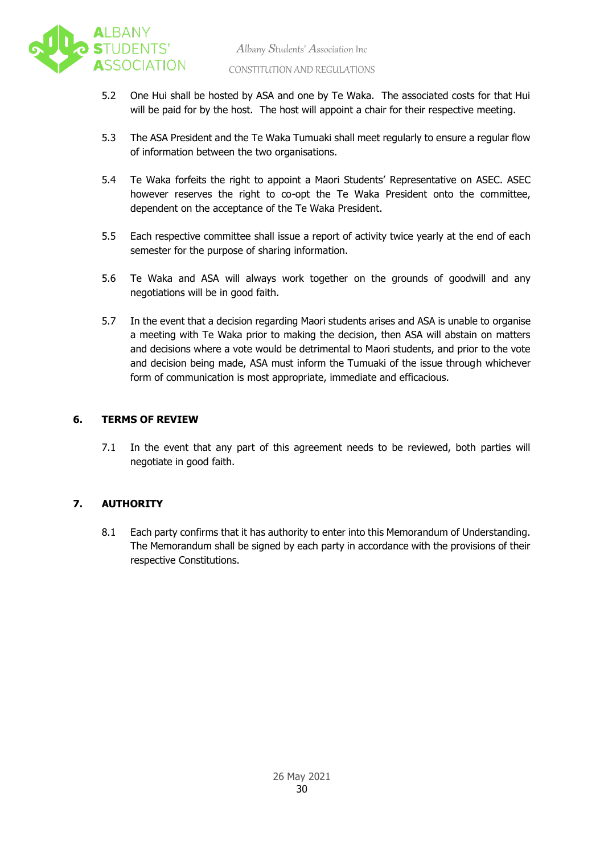

- 5.2 One Hui shall be hosted by ASA and one by Te Waka. The associated costs for that Hui will be paid for by the host. The host will appoint a chair for their respective meeting.
- 5.3 The ASA President and the Te Waka Tumuaki shall meet regularly to ensure a regular flow of information between the two organisations.
- 5.4 Te Waka forfeits the right to appoint a Maori Students' Representative on ASEC. ASEC however reserves the right to co-opt the Te Waka President onto the committee, dependent on the acceptance of the Te Waka President.
- 5.5 Each respective committee shall issue a report of activity twice yearly at the end of each semester for the purpose of sharing information.
- 5.6 Te Waka and ASA will always work together on the grounds of goodwill and any negotiations will be in good faith.
- 5.7 In the event that a decision regarding Maori students arises and ASA is unable to organise a meeting with Te Waka prior to making the decision, then ASA will abstain on matters and decisions where a vote would be detrimental to Maori students, and prior to the vote and decision being made, ASA must inform the Tumuaki of the issue through whichever form of communication is most appropriate, immediate and efficacious.

#### **6. TERMS OF REVIEW**

7.1 In the event that any part of this agreement needs to be reviewed, both parties will negotiate in good faith.

#### **7. AUTHORITY**

8.1 Each party confirms that it has authority to enter into this Memorandum of Understanding. The Memorandum shall be signed by each party in accordance with the provisions of their respective Constitutions.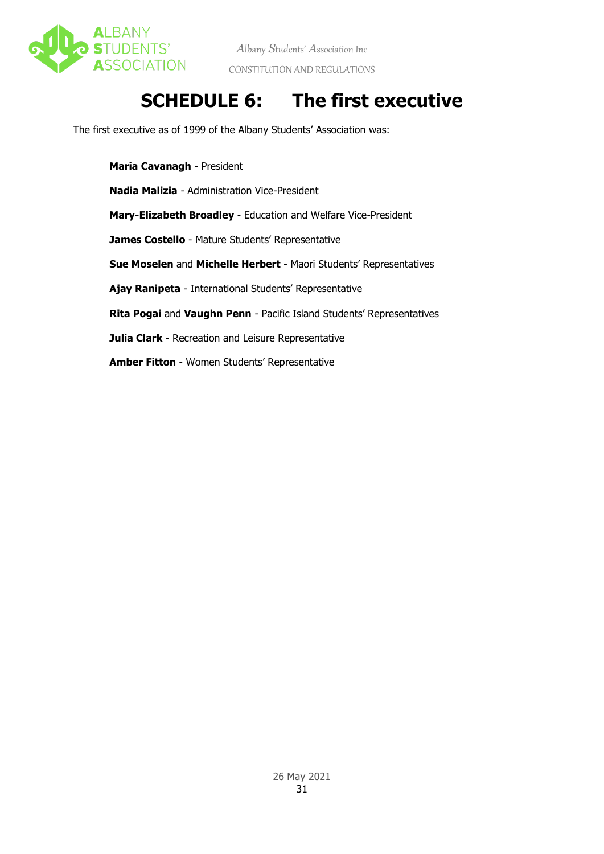

## **SCHEDULE 6: The first executive**

The first executive as of 1999 of the Albany Students' Association was:

**Maria Cavanagh** - President **Nadia Malizia** - Administration Vice-President **Mary-Elizabeth Broadley** - Education and Welfare Vice-President **James Costello** - Mature Students' Representative **Sue Moselen** and **Michelle Herbert** - Maori Students' Representatives **Ajay Ranipeta** - International Students' Representative **Rita Pogai** and **Vaughn Penn** - Pacific Island Students' Representatives **Julia Clark** - Recreation and Leisure Representative **Amber Fitton** - Women Students' Representative